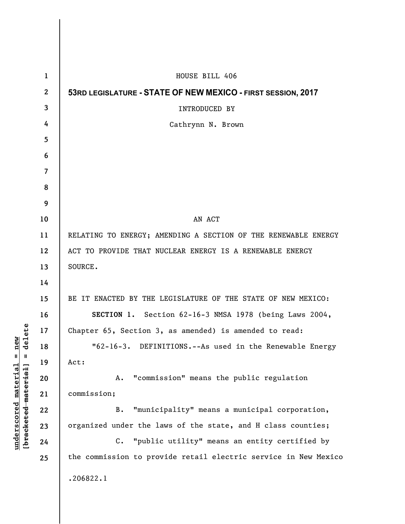| $\mathbf{1}$ | HOUSE BILL 406                                                  |
|--------------|-----------------------------------------------------------------|
| $\mathbf{2}$ | 53RD LEGISLATURE - STATE OF NEW MEXICO - FIRST SESSION, 2017    |
| 3            | <b>INTRODUCED BY</b>                                            |
| 4            | Cathrynn N. Brown                                               |
| 5            |                                                                 |
| 6            |                                                                 |
| 7            |                                                                 |
| 8            |                                                                 |
| 9            |                                                                 |
| 10           | AN ACT                                                          |
| 11           | RELATING TO ENERGY; AMENDING A SECTION OF THE RENEWABLE ENERGY  |
| 12           | ACT TO PROVIDE THAT NUCLEAR ENERGY IS A RENEWABLE ENERGY        |
| 13           | SOURCE.                                                         |
| 14           |                                                                 |
| 15           | BE IT ENACTED BY THE LEGISLATURE OF THE STATE OF NEW MEXICO:    |
| 16           | SECTION 1. Section 62-16-3 NMSA 1978 (being Laws 2004,          |
| 17           | Chapter 65, Section 3, as amended) is amended to read:          |
| 18           | "62-16-3. DEFINITIONS.--As used in the Renewable Energy         |
| 19           | Act:                                                            |
| 20           | "commission" means the public regulation<br>Α.                  |
| 21           | commission;                                                     |
| 22           | "municipality" means a municipal corporation,<br>В.             |
| 23           | organized under the laws of the state, and H class counties;    |
| 24           | C. "public utility" means an entity certified by                |
| 25           | the commission to provide retail electric service in New Mexico |
|              | .206822.1                                                       |
|              |                                                                 |

**underscored material = new [bracketed material] = delete**

 $[**bracket eted metert et**] = **del et e**$  $underscored material = new$ 

 $\mathsf{l}$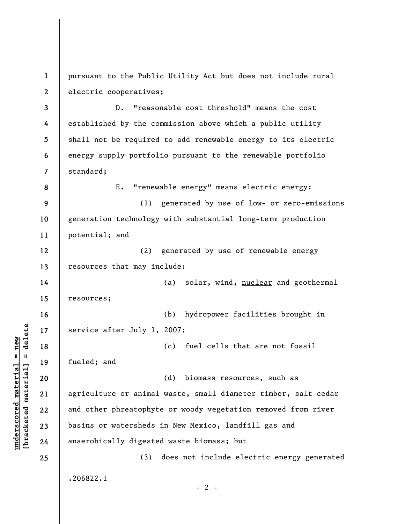**1 2**  pursuant to the Public Utility Act but does not include rural electric cooperatives;

**3 4 5 6 7**  D. "reasonable cost threshold" means the cost established by the commission above which a public utility shall not be required to add renewable energy to its electric energy supply portfolio pursuant to the renewable portfolio standard;

**9 10 11**  (1) generated by use of low- or zero-emissions generation technology with substantial long-term production potential; and

E. "renewable energy" means electric energy:

**12 13**  (2) generated by use of renewable energy resources that may include:

**14 15**  (a) solar, wind, nuclear and geothermal resources;

**16 17**  (b) hydropower facilities brought in service after July 1, 2007;

(c) fuel cells that are not fossil fueled; and

**20 21 22 23 24**  (d) biomass resources, such as agriculture or animal waste, small diameter timber, salt cedar and other phreatophyte or woody vegetation removed from river basins or watersheds in New Mexico, landfill gas and anaerobically digested waste biomass; but

(3) does not include electric energy generated .206822.1

 $- 2 -$ 

**18** 

**19** 

**25** 

**8**